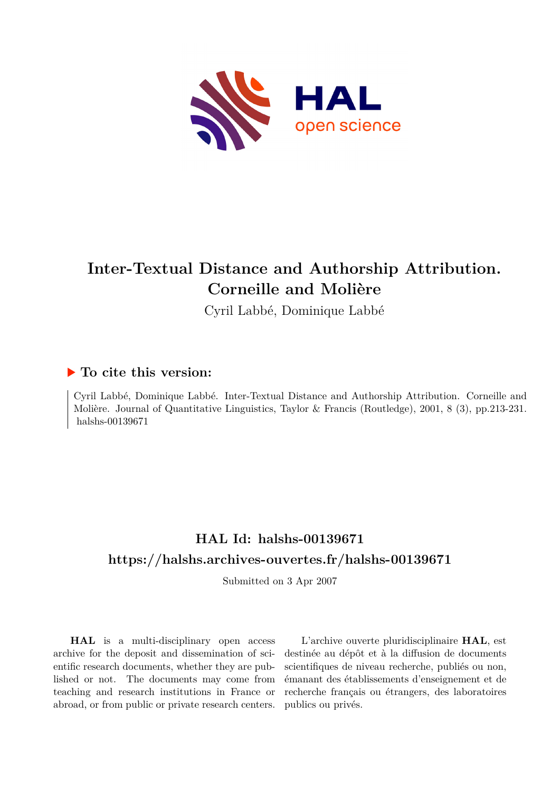

# **Inter-Textual Distance and Authorship Attribution. Corneille and Molière**

Cyril Labbé, Dominique Labbé

## **To cite this version:**

Cyril Labbé, Dominique Labbé. Inter-Textual Distance and Authorship Attribution. Corneille and Molière. Journal of Quantitative Linguistics, Taylor & Francis (Routledge), 2001, 8 (3), pp.213-231. halshs-00139671

## **HAL Id: halshs-00139671 <https://halshs.archives-ouvertes.fr/halshs-00139671>**

Submitted on 3 Apr 2007

**HAL** is a multi-disciplinary open access archive for the deposit and dissemination of scientific research documents, whether they are published or not. The documents may come from teaching and research institutions in France or abroad, or from public or private research centers.

L'archive ouverte pluridisciplinaire **HAL**, est destinée au dépôt et à la diffusion de documents scientifiques de niveau recherche, publiés ou non, émanant des établissements d'enseignement et de recherche français ou étrangers, des laboratoires publics ou privés.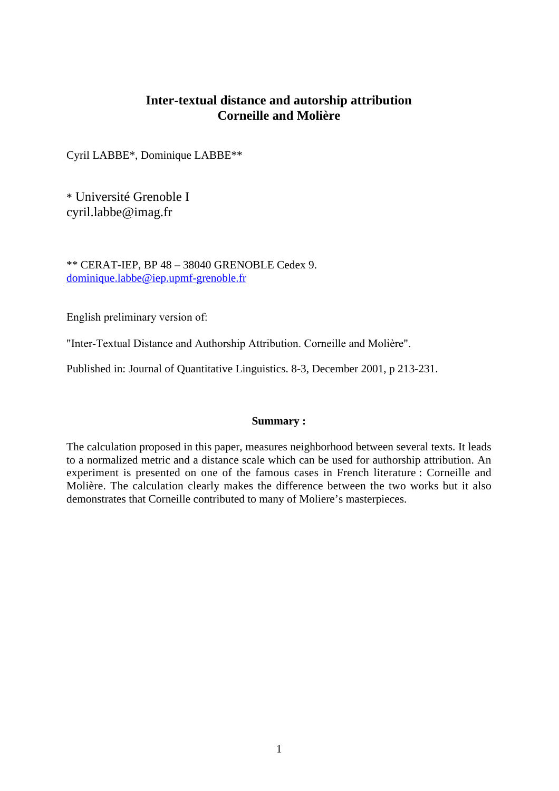## **Inter-textual distance and autorship attribution Corneille and Molière**

Cyril LABBE\*, Dominique LABBE\*\*

\* Université Grenoble I cyril.labbe@imag.fr

\*\* CERAT-IEP, BP 48 – 38040 GRENOBLE Cedex 9. dominique.labbe@iep.upmf-grenoble.fr

English preliminary version of:

"Inter-Textual Distance and Authorship Attribution. Corneille and Molière".

Published in: Journal of Quantitative Linguistics. 8-3, December 2001, p 213-231.

### **Summary :**

The calculation proposed in this paper, measures neighborhood between several texts. It leads to a normalized metric and a distance scale which can be used for authorship attribution. An experiment is presented on one of the famous cases in French literature : Corneille and Molière. The calculation clearly makes the difference between the two works but it also demonstrates that Corneille contributed to many of Moliere's masterpieces.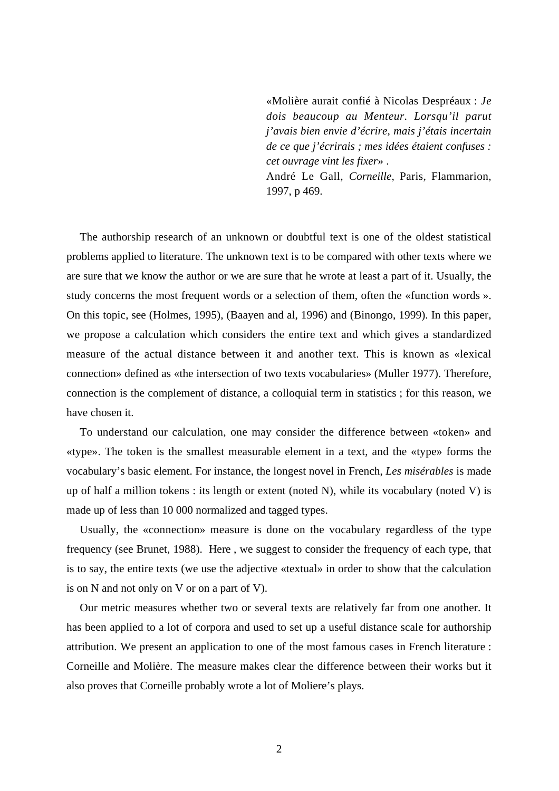«Molière aurait confié à Nicolas Despréaux : *Je dois beaucoup au Menteur. Lorsqu'il parut j'avais bien envie d'écrire, mais j'étais incertain de ce que j'écrirais ; mes idées étaient confuses : cet ouvrage vint les fixer*» . André Le Gall, *Corneille*, Paris, Flammarion,

1997, p 469.

The authorship research of an unknown or doubtful text is one of the oldest statistical problems applied to literature. The unknown text is to be compared with other texts where we are sure that we know the author or we are sure that he wrote at least a part of it. Usually, the study concerns the most frequent words or a selection of them, often the «function words ». On this topic, see (Holmes, 1995), (Baayen and al, 1996) and (Binongo, 1999). In this paper, we propose a calculation which considers the entire text and which gives a standardized measure of the actual distance between it and another text. This is known as «lexical connection» defined as «the intersection of two texts vocabularies» (Muller 1977). Therefore, connection is the complement of distance, a colloquial term in statistics ; for this reason, we have chosen it.

To understand our calculation, one may consider the difference between «token» and «type». The token is the smallest measurable element in a text, and the «type» forms the vocabulary's basic element. For instance, the longest novel in French, *Les misérables* is made up of half a million tokens : its length or extent (noted N), while its vocabulary (noted V) is made up of less than 10 000 normalized and tagged types.

Usually, the «connection» measure is done on the vocabulary regardless of the type frequency (see Brunet, 1988). Here , we suggest to consider the frequency of each type, that is to say, the entire texts (we use the adjective «textual» in order to show that the calculation is on N and not only on V or on a part of V).

Our metric measures whether two or several texts are relatively far from one another. It has been applied to a lot of corpora and used to set up a useful distance scale for authorship attribution. We present an application to one of the most famous cases in French literature : Corneille and Molière. The measure makes clear the difference between their works but it also proves that Corneille probably wrote a lot of Moliere's plays.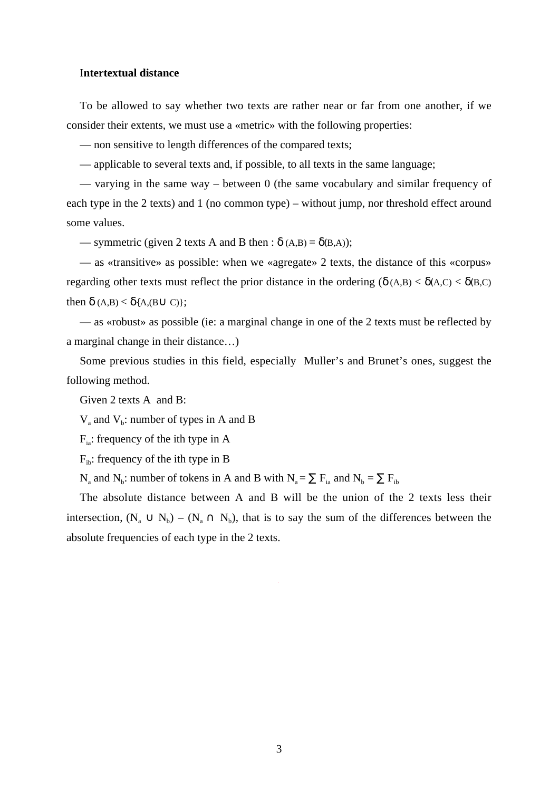#### I**ntertextual distance**

To be allowed to say whether two texts are rather near or far from one another, if we consider their extents, we must use a «metric» with the following properties:

— non sensitive to length differences of the compared texts;

— applicable to several texts and, if possible, to all texts in the same language;

— varying in the same way – between 0 (the same vocabulary and similar frequency of each type in the 2 texts) and 1 (no common type) – without jump, nor threshold effect around some values.

— symmetric (given 2 texts A and B then :  $\delta(A,B) = \delta(B,A)$ );

— as «transitive» as possible: when we «agregate» 2 texts, the distance of this «corpus» regarding other texts must reflect the prior distance in the ordering ( $\delta(A,B) < \delta(A,C) < \delta(B,C)$ then  $\delta$  (A,B) <  $\delta$ {A,(B $\cup$  C)};

— as «robust» as possible (ie: a marginal change in one of the 2 texts must be reflected by a marginal change in their distance…)

Some previous studies in this field, especially Muller's and Brunet's ones, suggest the following method.

Given 2 texts A and B:

 $V_a$  and  $V_b$ : number of types in A and B

 $F<sub>ia</sub>$ : frequency of the ith type in A

 $F_{ik}$ : frequency of the ith type in B

 $N_a$  and  $N_b$ : number of tokens in A and B with  $N_a = \sum F_{ia}$  and  $N_b = \sum F_{ib}$ 

The absolute distance between A and B will be the union of the 2 texts less their intersection,  $(N_a \cup N_b) - (N_a \cap N_b)$ , that is to say the sum of the differences between the absolute frequencies of each type in the 2 texts.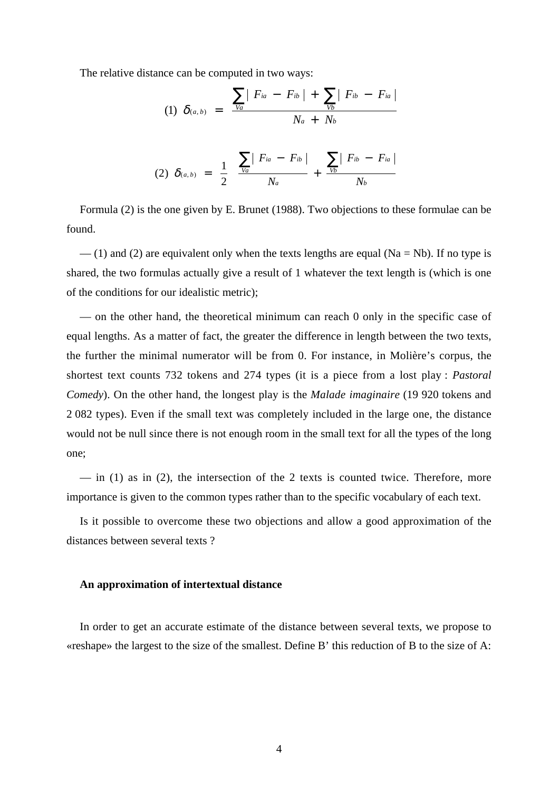The relative distance can be computed in two ways:

(1) 
$$
\delta_{(a,b)} = \frac{\sum_{Va} |F_{ia} - F_{ib}| + \sum_{Vb} |F_{ib} - F_{ia}|}{N_a + N_b}
$$
  
 $(\sum |F_{ia} - F_{ib}| - \sum |F_{ib} - F_{ia}|)$ 

(2) 
$$
\delta_{(a,b)} = \frac{1}{2} \left( \frac{\sum_{Va} |F_{ia} - F_{ib}|}{N_a} + \frac{\sum_{Vb} |F_{ib} - F_{ia}|}{N_b} \right)
$$

Formula (2) is the one given by E. Brunet (1988). Two objections to these formulae can be found.

 $-$  (1) and (2) are equivalent only when the texts lengths are equal (Na = Nb). If no type is shared, the two formulas actually give a result of 1 whatever the text length is (which is one of the conditions for our idealistic metric);

— on the other hand, the theoretical minimum can reach 0 only in the specific case of equal lengths. As a matter of fact, the greater the difference in length between the two texts, the further the minimal numerator will be from 0. For instance, in Molière's corpus, the shortest text counts 732 tokens and 274 types (it is a piece from a lost play : *Pastoral Comedy*). On the other hand, the longest play is the *Malade imaginaire* (19 920 tokens and 2 082 types). Even if the small text was completely included in the large one, the distance would not be null since there is not enough room in the small text for all the types of the long one;

 $\frac{1}{2}$  in (1) as in (2), the intersection of the 2 texts is counted twice. Therefore, more importance is given to the common types rather than to the specific vocabulary of each text.

Is it possible to overcome these two objections and allow a good approximation of the distances between several texts ?

#### **An approximation of intertextual distance**

In order to get an accurate estimate of the distance between several texts, we propose to «reshape» the largest to the size of the smallest. Define B' this reduction of B to the size of A: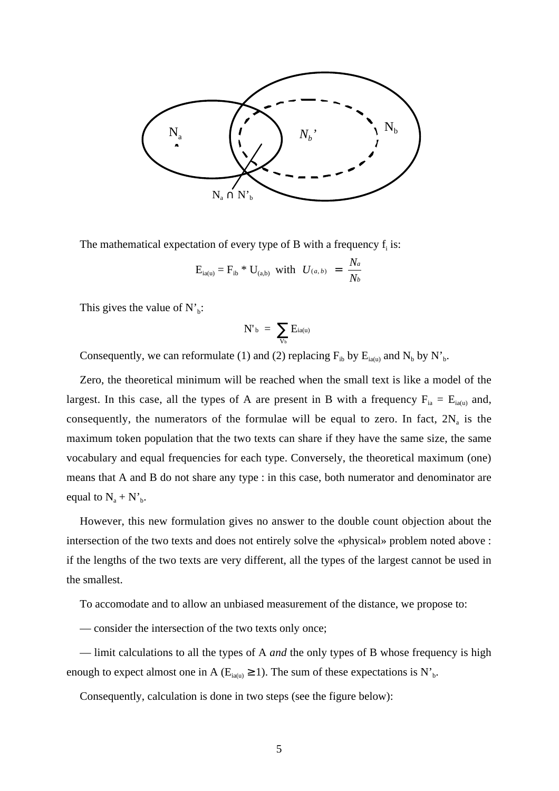

The mathematical expectation of every type of B with a frequency  $f_i$  is:

$$
E_{ia(u)} = F_{ib} * U_{(a,b)}
$$
 with  $U_{(a,b)} = \frac{N_a}{N_b}$ 

This gives the value of  $N^{\prime}$ <sub>b</sub>:

$$
N^{\prime}_{\phantom{\prime}b}\;=\;\sum_{V_b}E_{ia(u)}
$$

Consequently, we can reformulate (1) and (2) replacing  $F_{ib}$  by  $E_{ia(u)}$  and  $N_b$  by  $N'_b$ .

Zero, the theoretical minimum will be reached when the small text is like a model of the largest. In this case, all the types of A are present in B with a frequency  $F_{ia} = E_{ia(u)}$  and, consequently, the numerators of the formulae will be equal to zero. In fact,  $2N_a$  is the maximum token population that the two texts can share if they have the same size, the same vocabulary and equal frequencies for each type. Conversely, the theoretical maximum (one) means that A and B do not share any type : in this case, both numerator and denominator are equal to  $N_a + N_b$ .

However, this new formulation gives no answer to the double count objection about the intersection of the two texts and does not entirely solve the «physical» problem noted above : if the lengths of the two texts are very different, all the types of the largest cannot be used in the smallest.

To accomodate and to allow an unbiased measurement of the distance, we propose to:

— consider the intersection of the two texts only once;

— limit calculations to all the types of A *and* the only types of B whose frequency is high enough to expect almost one in A ( $E_{ia(u)} \ge 1$ ). The sum of these expectations is N'<sub>b</sub>.

Consequently, calculation is done in two steps (see the figure below):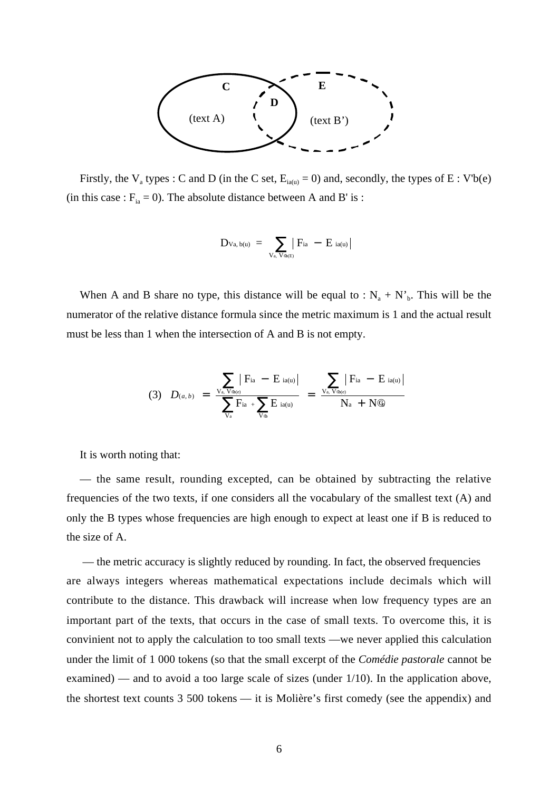

Firstly, the V<sub>a</sub> types : C and D (in the C set,  $E_{ia(u)} = 0$ ) and, secondly, the types of E : V'b(e) (in this case :  $F_{ia} = 0$ ). The absolute distance between A and B' is :

$$
D_{Va,\,b(u)} \; = \; \sum_{V_{a,\,}V_{\Phi(E)}} \bigl| \, F_{ia} \; - \; E_{ia(u)} \bigr|
$$

When A and B share no type, this distance will be equal to :  $N_a + N_b$ . This will be the numerator of the relative distance formula since the metric maximum is 1 and the actual result must be less than 1 when the intersection of A and B is not empty.

$$
(3) \quad D_{(a,b)} = \frac{\sum_{\text{V}_a, \text{V}_{\Phi(e)}} |\text{F}_{ia} - \text{E}_{ia(u)}|}{\sum_{\text{V}_a} \text{F}_{ia} + \sum_{\text{V}_\Phi} \text{E}_{ia(u)}} = \frac{\sum_{\text{V}_a, \text{V}_{\Phi(e)}} |\text{F}_{ia} - \text{E}_{ia(u)}|}{\text{N}_a + \text{N}\textcircled{g}}
$$

It is worth noting that:

— the same result, rounding excepted, can be obtained by subtracting the relative frequencies of the two texts, if one considers all the vocabulary of the smallest text (A) and only the B types whose frequencies are high enough to expect at least one if B is reduced to the size of A.

— the metric accuracy is slightly reduced by rounding. In fact, the observed frequencies are always integers whereas mathematical expectations include decimals which will contribute to the distance. This drawback will increase when low frequency types are an important part of the texts, that occurs in the case of small texts. To overcome this, it is convinient not to apply the calculation to too small texts —we never applied this calculation under the limit of 1 000 tokens (so that the small excerpt of the *Comédie pastorale* cannot be examined) — and to avoid a too large scale of sizes (under 1/10). In the application above, the shortest text counts 3 500 tokens — it is Molière's first comedy (see the appendix) and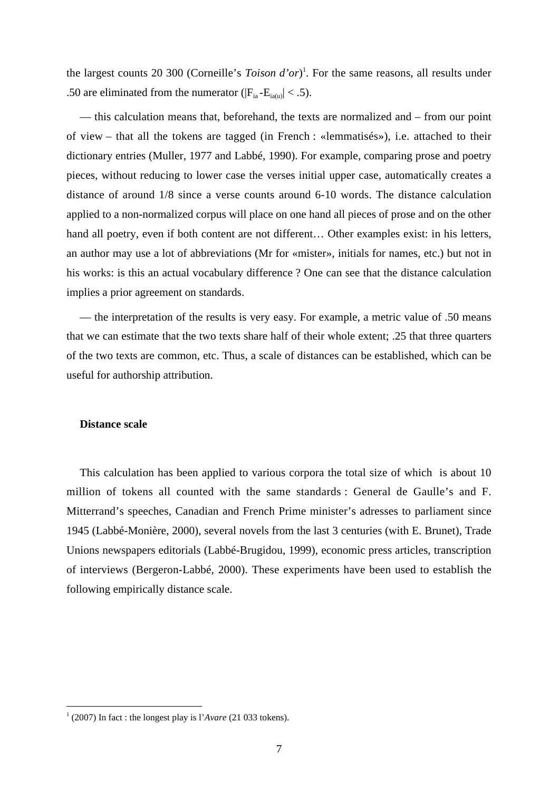the largest counts 20 300 (Corneille's *Toison d'or*) 1 . For the same reasons, all results under .50 are eliminated from the numerator ( $|F_{ia} - E_{ia(0)}| < .5$ ).

— this calculation means that, beforehand, the texts are normalized and – from our point of view – that all the tokens are tagged (in French : «lemmatisés»), i.e. attached to their dictionary entries (Muller, 1977 and Labbé, 1990). For example, comparing prose and poetry pieces, without reducing to lower case the verses initial upper case, automatically creates a distance of around 1/8 since a verse counts around 6-10 words. The distance calculation applied to a non-normalized corpus will place on one hand all pieces of prose and on the other hand all poetry, even if both content are not different… Other examples exist: in his letters, an author may use a lot of abbreviations (Mr for «mister», initials for names, etc.) but not in his works: is this an actual vocabulary difference ? One can see that the distance calculation implies a prior agreement on standards.

— the interpretation of the results is very easy. For example, a metric value of .50 means that we can estimate that the two texts share half of their whole extent; .25 that three quarters of the two texts are common, etc. Thus, a scale of distances can be established, which can be useful for authorship attribution.

#### **Distance scale**

This calculation has been applied to various corpora the total size of which is about 10 million of tokens all counted with the same standards : General de Gaulle's and F. Mitterrand's speeches, Canadian and French Prime minister's adresses to parliament since 1945 (Labbé-Monière, 2000), several novels from the last 3 centuries (with E. Brunet), Trade Unions newspapers editorials (Labbé-Brugidou, 1999), economic press articles, transcription of interviews (Bergeron-Labbé, 2000). These experiments have been used to establish the following empirically distance scale.

 $\frac{1}{1}$ (2007) In fact : the longest play is l'*Avare* (21 033 tokens).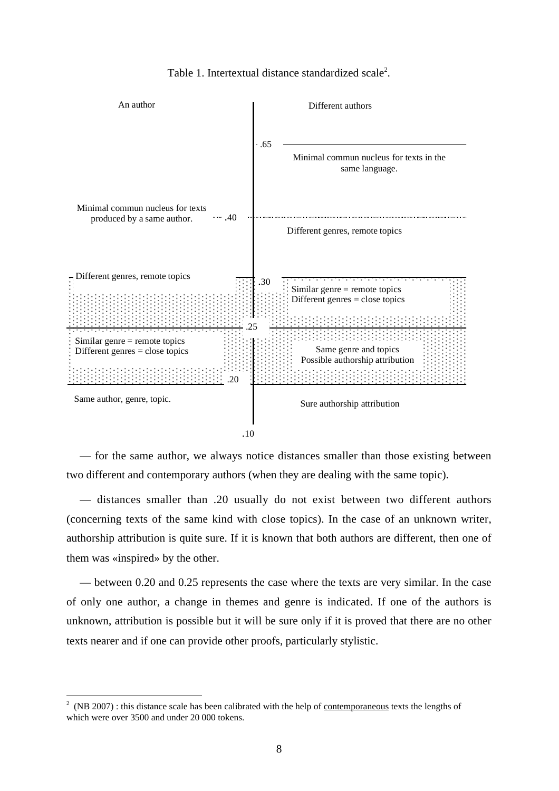

Table 1. Intertextual distance standardized scale<sup>2</sup>.

— for the same author, we always notice distances smaller than those existing between two different and contemporary authors (when they are dealing with the same topic).

— distances smaller than .20 usually do not exist between two different authors (concerning texts of the same kind with close topics). In the case of an unknown writer, authorship attribution is quite sure. If it is known that both authors are different, then one of them was «inspired» by the other.

— between 0.20 and 0.25 represents the case where the texts are very similar. In the case of only one author, a change in themes and genre is indicated. If one of the authors is unknown, attribution is possible but it will be sure only if it is proved that there are no other texts nearer and if one can provide other proofs, particularly stylistic.

 $\frac{1}{2}$  $<sup>2</sup>$  (NB 2007) : this distance scale has been calibrated with the help of <u>contemporaneous</u> texts the lengths of</sup> which were over 3500 and under 20 000 tokens.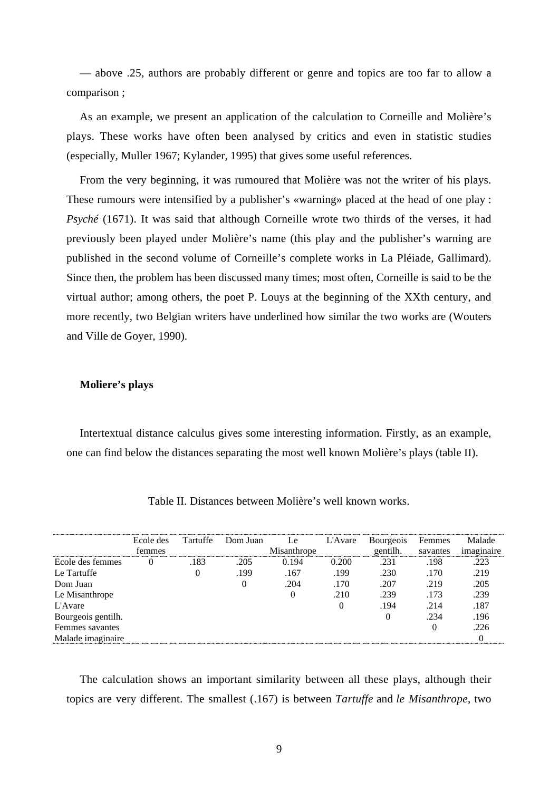— above .25, authors are probably different or genre and topics are too far to allow a comparison ;

As an example, we present an application of the calculation to Corneille and Molière's plays. These works have often been analysed by critics and even in statistic studies (especially, Muller 1967; Kylander, 1995) that gives some useful references.

From the very beginning, it was rumoured that Molière was not the writer of his plays. These rumours were intensified by a publisher's «warning» placed at the head of one play : *Psyché* (1671). It was said that although Corneille wrote two thirds of the verses, it had previously been played under Molière's name (this play and the publisher's warning are published in the second volume of Corneille's complete works in La Pléiade, Gallimard). Since then, the problem has been discussed many times; most often, Corneille is said to be the virtual author; among others, the poet P. Louys at the beginning of the XXth century, and more recently, two Belgian writers have underlined how similar the two works are (Wouters and Ville de Goyer, 1990).

#### **Moliere's plays**

Intertextual distance calculus gives some interesting information. Firstly, as an example, one can find below the distances separating the most well known Molière's plays (table II).

|                    | Ecole des<br>femmes | Tartuffe | Dom Juan | Le:<br>Misanthrope | L'Avare | <b>Bourgeois</b><br>gentilh. | Femmes<br>savantes | Malade<br>imaginaire |
|--------------------|---------------------|----------|----------|--------------------|---------|------------------------------|--------------------|----------------------|
|                    |                     |          |          |                    |         |                              |                    |                      |
| Ecole des femmes   | $\theta$            | .183     | .205     | 0.194              | 0.200   | .231                         | .198               | .223                 |
| Le Tartuffe        |                     | $\Omega$ | .199     | .167               | .199    | .230                         | .170               | .219                 |
| Dom Juan           |                     |          |          | .204               | .170    | .207                         | .219               | .205                 |
| Le Misanthrope     |                     |          |          |                    | .210    | .239                         | .173               | .239                 |
| L'Avare            |                     |          |          |                    |         | .194                         | .214               | .187                 |
| Bourgeois gentilh. |                     |          |          |                    |         | $\Omega$                     | .234               | .196                 |
| Femmes savantes    |                     |          |          |                    |         |                              |                    | .226                 |
| Malade imaginaire  |                     |          |          |                    |         |                              |                    |                      |

Table II. Distances between Molière's well known works.

The calculation shows an important similarity between all these plays, although their topics are very different. The smallest (.167) is between *Tartuffe* and *le Misanthrope*, two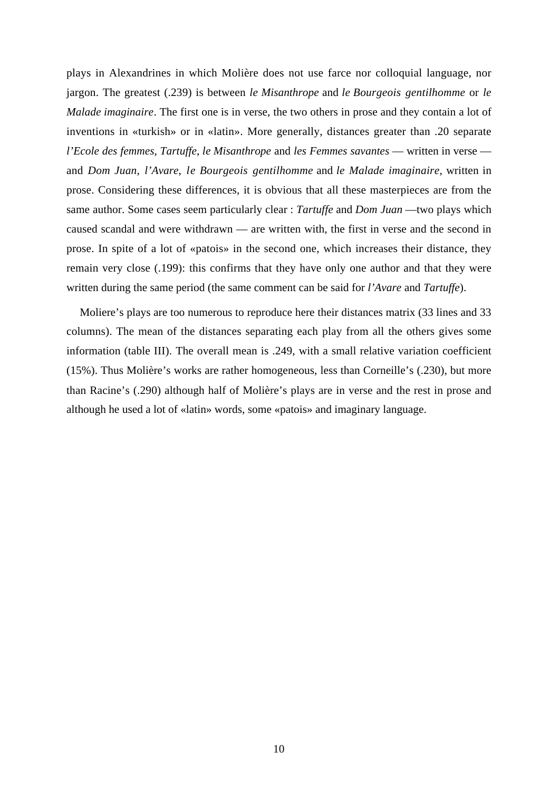plays in Alexandrines in which Molière does not use farce nor colloquial language, nor jargon. The greatest (.239) is between *le Misanthrope* and *le Bourgeois gentilhomme* or *le Malade imaginaire*. The first one is in verse, the two others in prose and they contain a lot of inventions in «turkish» or in «latin». More generally, distances greater than .20 separate *l'Ecole des femmes*, *Tartuffe*, *le Misanthrope* and *les Femmes savantes* — written in verse and *Dom Juan*, *l'Avare*, *le Bourgeois gentilhomme* and *le Malade imaginaire*, written in prose. Considering these differences, it is obvious that all these masterpieces are from the same author. Some cases seem particularly clear : *Tartuffe* and *Dom Juan* —two plays which caused scandal and were withdrawn — are written with, the first in verse and the second in prose. In spite of a lot of «patois» in the second one, which increases their distance, they remain very close (.199): this confirms that they have only one author and that they were written during the same period (the same comment can be said for *l'Avare* and *Tartuffe*).

Moliere's plays are too numerous to reproduce here their distances matrix (33 lines and 33 columns). The mean of the distances separating each play from all the others gives some information (table III). The overall mean is .249, with a small relative variation coefficient (15%). Thus Molière's works are rather homogeneous, less than Corneille's (.230), but more than Racine's (.290) although half of Molière's plays are in verse and the rest in prose and although he used a lot of «latin» words, some «patois» and imaginary language.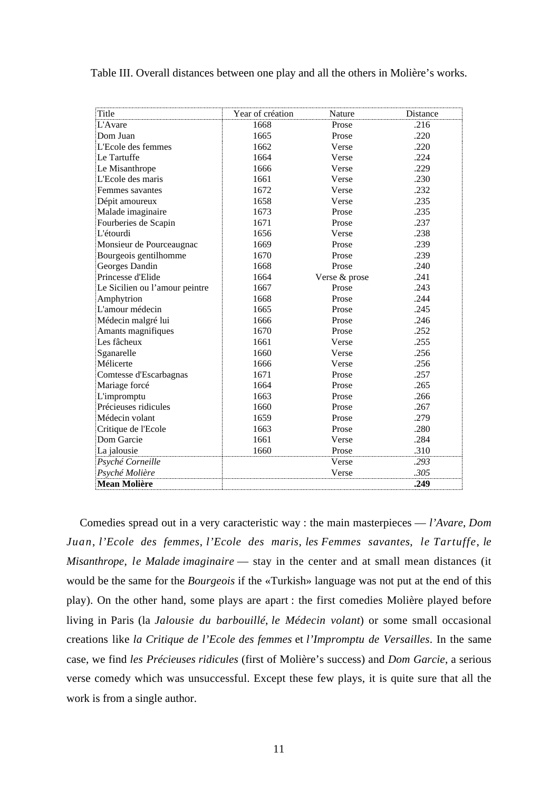| Title                          | Year of création | Nature        | Distance |
|--------------------------------|------------------|---------------|----------|
| L'Avare                        | 1668             | Prose         | .216     |
| Dom Juan                       | 1665             | Prose         | .220     |
| L'Ecole des femmes             | 1662             | Verse         | .220     |
| Le Tartuffe                    | 1664             | Verse         | .224     |
| Le Misanthrope                 | 1666             | Verse         | .229     |
| L'Ecole des maris              | 1661             | Verse         | .230     |
| Femmes savantes                | 1672             | Verse         | .232     |
| Dépit amoureux                 | 1658             | Verse         | .235     |
| Malade imaginaire              | 1673             | Prose         | .235     |
| Fourberies de Scapin           | 1671             | Prose         | .237     |
| L'étourdi                      | 1656             | Verse         | .238     |
| Monsieur de Pourceaugnac       | 1669             | Prose         | .239     |
| Bourgeois gentilhomme          | 1670             | Prose         | .239     |
| Georges Dandin                 | 1668             | Prose         | .240     |
| Princesse d'Elide              | 1664             | Verse & prose | .241     |
| Le Sicilien ou l'amour peintre | 1667             | Prose         | .243     |
| Amphytrion                     | 1668             | Prose         | .244     |
| L'amour médecin                | 1665             | Prose         | .245     |
| Médecin malgré lui             | 1666             | Prose         | .246     |
| Amants magnifiques             | 1670             | Prose         | .252     |
| Les fâcheux                    | 1661             | Verse         | .255     |
| Sganarelle                     | 1660             | Verse         | .256     |
| Mélicerte                      | 1666             | Verse         | .256     |
| Comtesse d'Escarbagnas         | 1671             | Prose         | .257     |
| Mariage forcé                  | 1664             | Prose         | .265     |
| L'impromptu                    | 1663             | Prose         | .266     |
| Précieuses ridicules           | 1660             | Prose         | .267     |
| Médecin volant                 | 1659             | Prose         | .279     |
| Critique de l'Ecole            | 1663             | Prose         | .280     |
| Dom Garcie                     | 1661             | Verse         | .284     |
| La jalousie                    | 1660             | Prose         | .310     |
| Psyché Corneille               |                  | Verse         | .293     |
| Psyché Molière                 |                  | Verse         | .305     |
| <b>Mean Molière</b>            |                  |               | .249     |

Table III. Overall distances between one play and all the others in Molière's works.

Comedies spread out in a very caracteristic way : the main masterpieces — *l'Avare*, *Dom Juan*, *l'Ecole des femmes*, *l'Ecole des maris*, *les Femmes savantes*, *le Tartuffe*, *le Misanthrope*, *le Malade imaginaire* — stay in the center and at small mean distances (it would be the same for the *Bourgeois* if the «Turkish» language was not put at the end of this play). On the other hand, some plays are apart : the first comedies Molière played before living in Paris (la *Jalousie du barbouillé*, *le Médecin volant*) or some small occasional creations like *la Critique de l'Ecole des femmes* et *l'Impromptu de Versailles*. In the same case, we find *les Précieuses ridicules* (first of Molière's success) and *Dom Garcie*, a serious verse comedy which was unsuccessful. Except these few plays, it is quite sure that all the work is from a single author.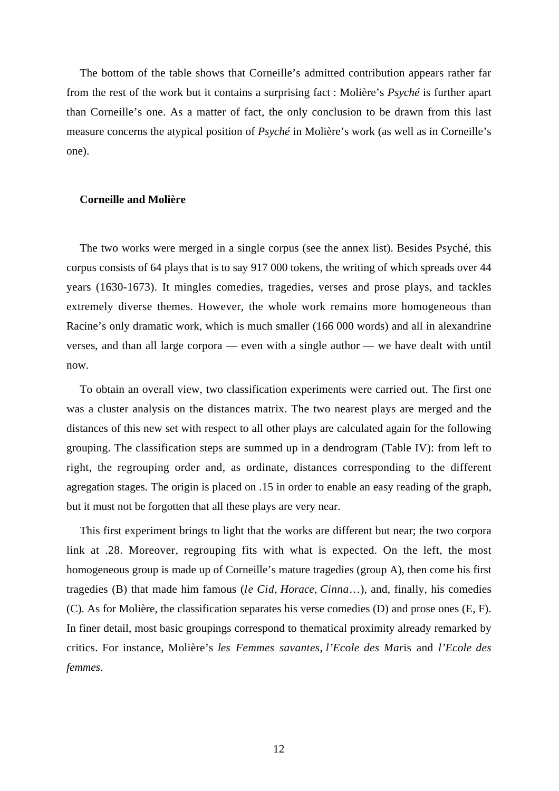The bottom of the table shows that Corneille's admitted contribution appears rather far from the rest of the work but it contains a surprising fact : Molière's *Psyché* is further apart than Corneille's one. As a matter of fact, the only conclusion to be drawn from this last measure concerns the atypical position of *Psyché* in Molière's work (as well as in Corneille's one).

#### **Corneille and Molière**

The two works were merged in a single corpus (see the annex list). Besides Psyché, this corpus consists of 64 plays that is to say 917 000 tokens, the writing of which spreads over 44 years (1630-1673). It mingles comedies, tragedies, verses and prose plays, and tackles extremely diverse themes. However, the whole work remains more homogeneous than Racine's only dramatic work, which is much smaller (166 000 words) and all in alexandrine verses, and than all large corpora — even with a single author — we have dealt with until now.

To obtain an overall view, two classification experiments were carried out. The first one was a cluster analysis on the distances matrix. The two nearest plays are merged and the distances of this new set with respect to all other plays are calculated again for the following grouping. The classification steps are summed up in a dendrogram (Table IV): from left to right, the regrouping order and, as ordinate, distances corresponding to the different agregation stages. The origin is placed on .15 in order to enable an easy reading of the graph, but it must not be forgotten that all these plays are very near.

This first experiment brings to light that the works are different but near; the two corpora link at .28. Moreover, regrouping fits with what is expected. On the left, the most homogeneous group is made up of Corneille's mature tragedies (group A), then come his first tragedies (B) that made him famous (*le Cid*, *Horace*, *Cinna*…), and, finally, his comedies (C). As for Molière, the classification separates his verse comedies (D) and prose ones (E, F). In finer detail, most basic groupings correspond to thematical proximity already remarked by critics. For instance, Molière's *les Femmes savantes*, *l'Ecole des Mar*is and *l'Ecole des femmes*.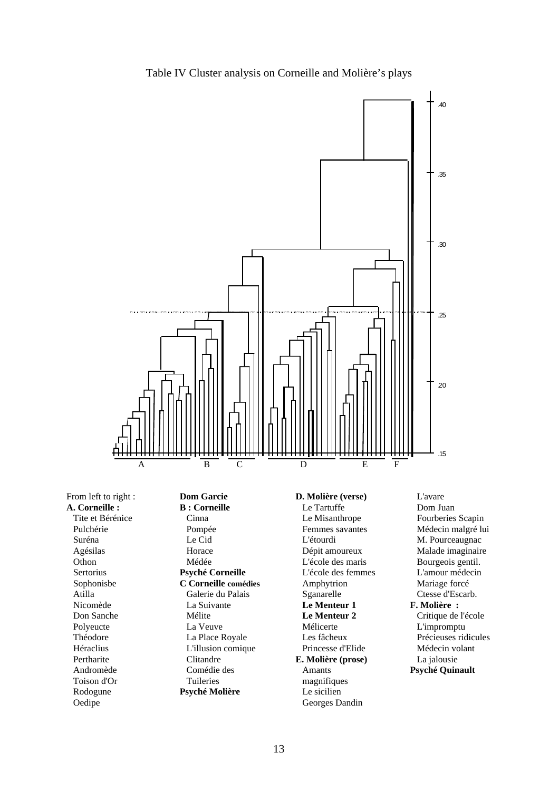

Table IV Cluster analysis on Corneille and Molière's plays

From left to right : **A. Corneille :** Tite et Bérénice Pulchérie Suréna Agésilas **Othon** Sertorius Sophonisbe Atilla Nicomède Don Sanche Polyeucte Théodore Héraclius Pertharite Andromède Toison d'Or Rodogune Oedipe

**Dom Garcie B : Corneille** Cinna Pompée Le Cid Horace Médée **Psyché Corneille C Corneille comédies** Galerie du Palais La Suivante Mélite La Veuve La Place Royale L'illusion comique Clitandre Comédie des Tuileries **Psyché Molière**

#### **D. Molière (verse)** Le Tartuffe Le Misanthrope Femmes savantes L'étourdi Dépit amoureux L'école des maris L'école des femmes Amphytrion **Sganarelle Le Menteur 1 Le Menteur 2** Mélicerte Les fâcheux Princesse d'Elide **E. Molière (prose)** Amants magnifiques Le sicilien Georges Dandin

L'avare Dom Juan Fourberies Scapin Médecin malgré lui M. Pourceaugnac Malade imaginaire Bourgeois gentil. L'amour médecin Mariage forcé Ctesse d'Escarb. **F. Molière :** Critique de l'école L'impromptu Précieuses ridicules Médecin volant La jalousie **Psyché Quinault**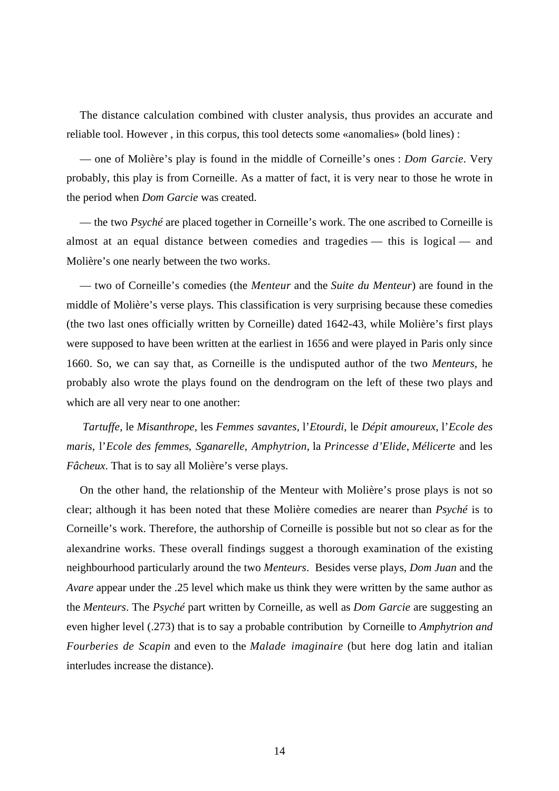The distance calculation combined with cluster analysis, thus provides an accurate and reliable tool. However , in this corpus, this tool detects some «anomalies» (bold lines) :

— one of Molière's play is found in the middle of Corneille's ones : *Dom Garcie*. Very probably, this play is from Corneille. As a matter of fact, it is very near to those he wrote in the period when *Dom Garcie* was created.

— the two *Psyché* are placed together in Corneille's work. The one ascribed to Corneille is almost at an equal distance between comedies and tragedies — this is logical — and Molière's one nearly between the two works.

— two of Corneille's comedies (the *Menteur* and the *Suite du Menteur*) are found in the middle of Molière's verse plays. This classification is very surprising because these comedies (the two last ones officially written by Corneille) dated 1642-43, while Molière's first plays were supposed to have been written at the earliest in 1656 and were played in Paris only since 1660. So, we can say that, as Corneille is the undisputed author of the two *Menteurs*, he probably also wrote the plays found on the dendrogram on the left of these two plays and which are all very near to one another:

*Tartuffe*, le *Misanthrope*, les *Femmes savantes*, l'*Etourdi*, le *Dépit amoureux*, l'*Ecole des maris*, l'*Ecole des femmes*, *Sganarelle*, *Amphytrion*, la *Princesse d'Elide*, *Mélicerte* and les *Fâcheux*. That is to say all Molière's verse plays.

On the other hand, the relationship of the Menteur with Molière's prose plays is not so clear; although it has been noted that these Molière comedies are nearer than *Psyché* is to Corneille's work. Therefore, the authorship of Corneille is possible but not so clear as for the alexandrine works. These overall findings suggest a thorough examination of the existing neighbourhood particularly around the two *Menteurs*. Besides verse plays, *Dom Juan* and the *Avare* appear under the .25 level which make us think they were written by the same author as the *Menteurs*. The *Psyché* part written by Corneille, as well as *Dom Garcie* are suggesting an even higher level (.273) that is to say a probable contribution by Corneille to *Amphytrion and Fourberies de Scapin* and even to the *Malade imaginaire* (but here dog latin and italian interludes increase the distance).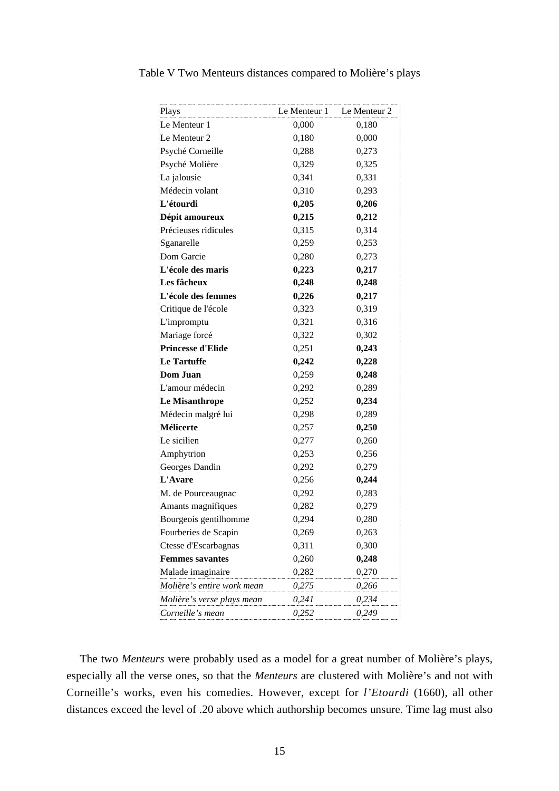| Le Menteur 1 Le Menteur 2<br>Plays |       |       |
|------------------------------------|-------|-------|
| Le Menteur 1                       | 0,000 | 0,180 |
| Le Menteur 2                       | 0,180 | 0,000 |
| Psyché Corneille                   | 0,288 | 0,273 |
| Psyché Molière                     | 0,329 | 0,325 |
| La jalousie                        | 0,341 | 0,331 |
| Médecin volant                     | 0,310 | 0,293 |
| L'étourdi                          | 0,205 | 0,206 |
| Dépit amoureux                     | 0,215 | 0,212 |
| Précieuses ridicules               | 0,315 | 0,314 |
| Sganarelle                         | 0,259 | 0,253 |
| Dom Garcie                         | 0,280 | 0,273 |
| L'école des maris                  | 0,223 | 0,217 |
| Les fâcheux                        | 0,248 | 0,248 |
| L'école des femmes                 | 0,226 | 0,217 |
| Critique de l'école                | 0,323 | 0,319 |
| L'impromptu                        | 0,321 | 0,316 |
| Mariage forcé                      | 0,322 | 0,302 |
| <b>Princesse d'Elide</b>           | 0,251 | 0,243 |
| <b>Le Tartuffe</b>                 | 0,242 | 0,228 |
| <b>Dom Juan</b>                    | 0,259 | 0,248 |
| L'amour médecin                    | 0,292 | 0,289 |
| Le Misanthrope                     | 0,252 | 0,234 |
| Médecin malgré lui                 | 0,298 | 0,289 |
| Mélicerte                          | 0,257 | 0,250 |
| Le sicilien                        | 0,277 | 0,260 |
| Amphytrion                         | 0,253 | 0,256 |
| Georges Dandin                     | 0,292 | 0,279 |
| L'Avare                            | 0,256 | 0,244 |
| M. de Pourceaugnac                 | 0,292 | 0,283 |
| Amants magnifiques                 | 0,282 | 0,279 |
| Bourgeois gentilhomme              | 0,294 | 0,280 |
| Fourberies de Scapin               | 0,269 | 0,263 |
| Ctesse d'Escarbagnas               | 0,311 | 0,300 |
| <b>Femmes savantes</b>             | 0,260 | 0,248 |
| Malade imaginaire                  | 0,282 | 0,270 |
| Molière's entire work mean         | 0,275 | 0,266 |
| Molière's verse plays mean         | 0,241 | 0,234 |
| Corneille's mean                   | 0,252 | 0,249 |

Table V Two Menteurs distances compared to Molière's plays

The two *Menteurs* were probably used as a model for a great number of Molière's plays, especially all the verse ones, so that the *Menteurs* are clustered with Molière's and not with Corneille's works, even his comedies. However, except for *l'Etourdi* (1660), all other distances exceed the level of .20 above which authorship becomes unsure. Time lag must also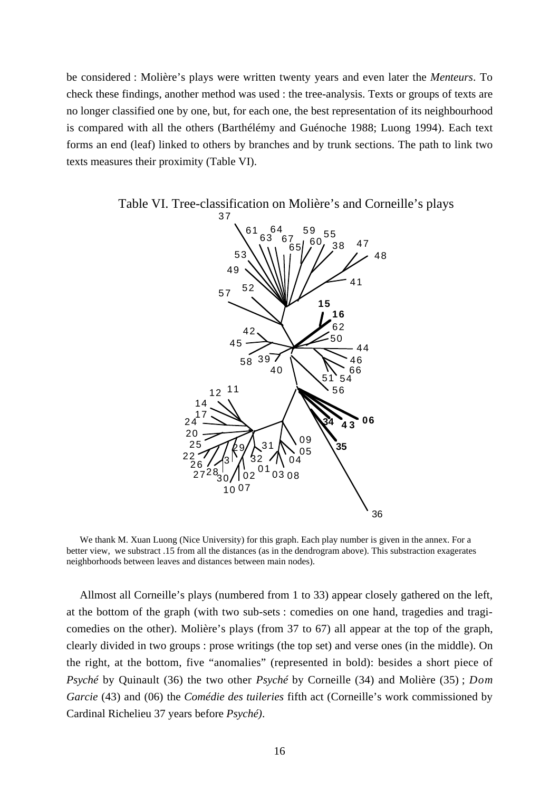be considered : Molière's plays were written twenty years and even later the *Menteurs*. To check these findings, another method was used : the tree-analysis. Texts or groups of texts are no longer classified one by one, but, for each one, the best representation of its neighbourhood is compared with all the others (Barthélémy and Guénoche 1988; Luong 1994). Each text forms an end (leaf) linked to others by branches and by trunk sections. The path to link two texts measures their proximity (Table VI).



Table VI. Tree-classification on Molière's and Corneille's plays

We thank M. Xuan Luong (Nice University) for this graph. Each play number is given in the annex. For a better view, we substract .15 from all the distances (as in the dendrogram above). This substraction exagerates neighborhoods between leaves and distances between main nodes).

Allmost all Corneille's plays (numbered from 1 to 33) appear closely gathered on the left, at the bottom of the graph (with two sub-sets : comedies on one hand, tragedies and tragicomedies on the other). Molière's plays (from 37 to 67) all appear at the top of the graph, clearly divided in two groups : prose writings (the top set) and verse ones (in the middle). On the right, at the bottom, five "anomalies" (represented in bold): besides a short piece of *Psyché* by Quinault (36) the two other *Psyché* by Corneille (34) and Molière (35) ; *Dom Garcie* (43) and (06) the *Comédie des tuileries* fifth act (Corneille's work commissioned by Cardinal Richelieu 37 years before *Psyché)*.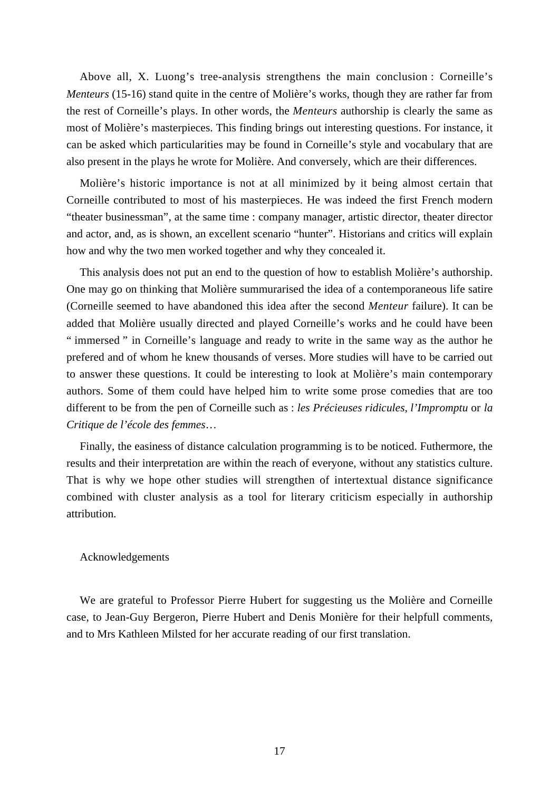Above all, X. Luong's tree-analysis strengthens the main conclusion : Corneille's *Menteurs* (15-16) stand quite in the centre of Molière's works, though they are rather far from the rest of Corneille's plays. In other words, the *Menteurs* authorship is clearly the same as most of Molière's masterpieces. This finding brings out interesting questions. For instance, it can be asked which particularities may be found in Corneille's style and vocabulary that are also present in the plays he wrote for Molière. And conversely, which are their differences.

Molière's historic importance is not at all minimized by it being almost certain that Corneille contributed to most of his masterpieces. He was indeed the first French modern "theater businessman", at the same time : company manager, artistic director, theater director and actor, and, as is shown, an excellent scenario "hunter". Historians and critics will explain how and why the two men worked together and why they concealed it.

This analysis does not put an end to the question of how to establish Molière's authorship. One may go on thinking that Molière summurarised the idea of a contemporaneous life satire (Corneille seemed to have abandoned this idea after the second *Menteur* failure). It can be added that Molière usually directed and played Corneille's works and he could have been " immersed " in Corneille's language and ready to write in the same way as the author he prefered and of whom he knew thousands of verses. More studies will have to be carried out to answer these questions. It could be interesting to look at Molière's main contemporary authors. Some of them could have helped him to write some prose comedies that are too different to be from the pen of Corneille such as : *les Précieuses ridicules*, *l'Impromptu* or *la Critique de l'école des femmes*…

Finally, the easiness of distance calculation programming is to be noticed. Futhermore, the results and their interpretation are within the reach of everyone, without any statistics culture. That is why we hope other studies will strengthen of intertextual distance significance combined with cluster analysis as a tool for literary criticism especially in authorship attribution.

#### Acknowledgements

We are grateful to Professor Pierre Hubert for suggesting us the Molière and Corneille case, to Jean-Guy Bergeron, Pierre Hubert and Denis Monière for their helpfull comments, and to Mrs Kathleen Milsted for her accurate reading of our first translation.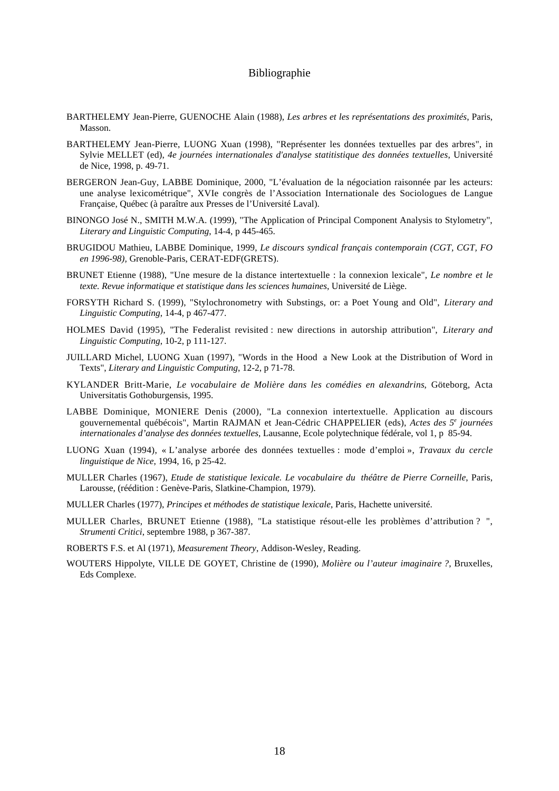#### Bibliographie

- BARTHELEMY Jean-Pierre, GUENOCHE Alain (1988), *Les arbres et les représentations des proximités*, Paris, Masson.
- BARTHELEMY Jean-Pierre, LUONG Xuan (1998), "Représenter les données textuelles par des arbres", in Sylvie MELLET (ed), *4e journées internationales d'analyse statitistique des données textuelles*, Université de Nice, 1998, p. 49-71.
- BERGERON Jean-Guy, LABBE Dominique, 2000, "L'évaluation de la négociation raisonnée par les acteurs: une analyse lexicométrique", XVIe congrès de l'Association Internationale des Sociologues de Langue Française, Québec (à paraître aux Presses de l'Université Laval).
- BINONGO José N., SMITH M.W.A. (1999), "The Application of Principal Component Analysis to Stylometry", *Literary and Linguistic Computing*, 14-4, p 445-465.
- BRUGIDOU Mathieu, LABBE Dominique, 1999, *Le discours syndical français contemporain (CGT, CGT, FO en 1996-98),* Grenoble-Paris, CERAT-EDF(GRETS).
- BRUNET Etienne (1988), "Une mesure de la distance intertextuelle : la connexion lexicale", *Le nombre et le texte. Revue informatique et statistique dans les sciences humaines*, Université de Liège.
- FORSYTH Richard S. (1999), "Stylochronometry with Substings, or: a Poet Young and Old", *Literary and Linguistic Computing*, 14-4, p 467-477.
- HOLMES David (1995), "The Federalist revisited : new directions in autorship attribution", *Literary and Linguistic Computing*, 10-2, p 111-127.
- JUILLARD Michel, LUONG Xuan (1997), "Words in the Hood a New Look at the Distribution of Word in Texts", *Literary and Linguistic Computing*, 12-2, p 71-78.
- KYLANDER Britt-Marie, *Le vocabulaire de Molière dans les comédies en alexandrins*, Göteborg, Acta Universitatis Gothoburgensis, 1995.
- LABBE Dominique, MONIERE Denis (2000), "La connexion intertextuelle. Application au discours gouvernemental québécois", Martin RAJMAN et Jean-Cédric CHAPPELIER (eds), *Actes des 5e journées internationales d'analyse des données textuelles*, Lausanne, Ecole polytechnique fédérale, vol 1, p 85-94.
- LUONG Xuan (1994), « L'analyse arborée des données textuelles : mode d'emploi », *Travaux du cercle linguistique de Nice*, 1994, 16, p 25-42.
- MULLER Charles (1967), *Etude de statistique lexicale. Le vocabulaire du théâtre de Pierre Corneille*, Paris, Larousse, (réédition : Genève-Paris, Slatkine-Champion, 1979).
- MULLER Charles (1977), *Principes et méthodes de statistique lexicale*, Paris, Hachette université.
- MULLER Charles, BRUNET Etienne (1988), "La statistique résout-elle les problèmes d'attribution ? ", *Strumenti Critici*, septembre 1988, p 367-387.
- ROBERTS F.S. et Al (1971), *Measurement Theory*, Addison-Wesley, Reading.
- WOUTERS Hippolyte, VILLE DE GOYET, Christine de (1990), *Molière ou l'auteur imaginaire ?*, Bruxelles, Eds Complexe.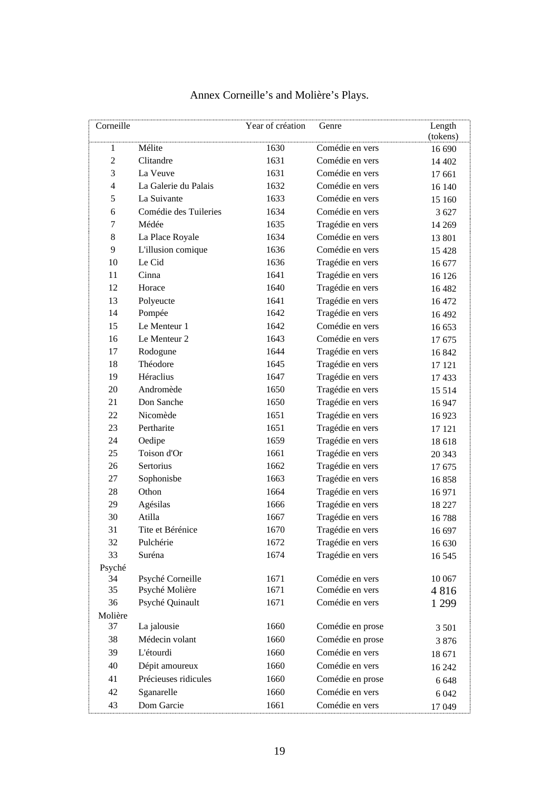| Corneille      |                                        | Year of création | Genre            | Length   |
|----------------|----------------------------------------|------------------|------------------|----------|
|                |                                        |                  |                  | (tokens) |
| 1              | Mélite                                 | 1630             | Comédie en vers  | 16 690   |
| $\overline{c}$ | Clitandre                              | 1631             | Comédie en vers  | 14 402   |
| 3              | La Veuve                               | 1631             | Comédie en vers  | 17 661   |
| 4              | La Galerie du Palais                   | 1632             | Comédie en vers  | 16 140   |
| 5              | La Suivante                            | 1633             | Comédie en vers  | 15 160   |
| 6              | Comédie des Tuileries                  | 1634             | Comédie en vers  | 3 6 27   |
| 7              | Médée                                  | 1635             | Tragédie en vers | 14 2 69  |
| 8              | La Place Royale                        | 1634             | Comédie en vers  | 13 801   |
| 9              | L'illusion comique                     | 1636             | Comédie en vers  | 15 4 28  |
| 10             | Le Cid                                 | 1636             | Tragédie en vers | 16 677   |
| 11             | Cinna                                  | 1641             | Tragédie en vers | 16 126   |
| 12             | Horace                                 | 1640             | Tragédie en vers | 16 4 82  |
| 13             | Polyeucte                              | 1641             | Tragédie en vers | 16 472   |
| 14             | Pompée                                 | 1642             | Tragédie en vers | 16 492   |
| 15             | Le Menteur 1                           | 1642             | Comédie en vers  | 16 653   |
| 16             | Le Menteur 2                           | 1643             | Comédie en vers  | 17675    |
| 17             | Rodogune                               | 1644             | Tragédie en vers | 16 842   |
| 18             | Théodore                               | 1645             | Tragédie en vers | 17 121   |
| 19             | Héraclius                              | 1647             | Tragédie en vers | 17433    |
| 20             | Andromède                              | 1650             | Tragédie en vers | 15 5 14  |
| 21             | Don Sanche                             | 1650             | Tragédie en vers | 16 947   |
| 22             | Nicomède                               | 1651             | Tragédie en vers | 16923    |
| 23             | Pertharite                             | 1651             | Tragédie en vers | 17 121   |
| 24             | Oedipe                                 | 1659             | Tragédie en vers | 18 618   |
| 25             | Toison d'Or                            | 1661             | Tragédie en vers | 20 343   |
| 26             | Sertorius                              | 1662             | Tragédie en vers | 17675    |
| 27             | Sophonisbe                             | 1663             | Tragédie en vers | 16858    |
| 28             | Othon                                  | 1664             | Tragédie en vers | 16971    |
| 29             | Agésilas                               | 1666             | Tragédie en vers | 18 227   |
| 30             | Atilla                                 | 1667             | Tragédie en vers | 16788    |
| 31             | Tite et Bérénice                       | 1670             | Tragédie en vers | 16 697   |
| 32             | Pulchérie                              | 1672             | Tragédie en vers | 16 630   |
| 33             | Suréna                                 | 1674             | Tragédie en vers | 16 5 45  |
| Psyché         |                                        |                  |                  |          |
| 34             | Psyché Corneille                       | 1671             | Comédie en vers  | 10 067   |
| 35             | Psyché Molière                         | 1671             | Comédie en vers  | 4816     |
| 36             | Psyché Quinault                        | 1671             | Comédie en vers  | 1 2 9 9  |
| Molière<br>37  | La jalousie                            | 1660             | Comédie en prose |          |
| 38             | Médecin volant                         | 1660             | Comédie en prose | 3 5 0 1  |
| 39             | L'étourdi                              |                  | Comédie en vers  | 3876     |
|                |                                        | 1660             |                  | 18 671   |
| 40             | Dépit amoureux<br>Précieuses ridicules | 1660             | Comédie en vers  | 16 24 2  |
| 41             |                                        | 1660             | Comédie en prose | 6 6 4 8  |
| 42             | Sganarelle                             | 1660             | Comédie en vers  | 6 0 4 2  |
| 43             | Dom Garcie                             | 1661             | Comédie en vers  | 17 049   |

## Annex Corneille's and Molière's Plays.